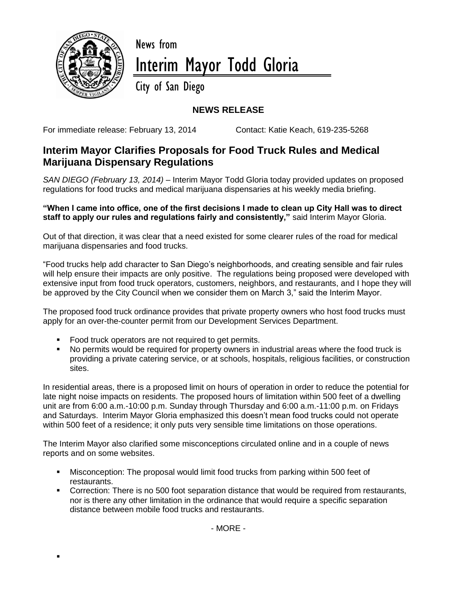

 $\blacksquare$ 

## News from Interim Mayor Todd Gloria

City of San Diego

## **NEWS RELEASE**

For immediate release: February 13, 2014 Contact: Katie Keach, 619-235-5268

## **Interim Mayor Clarifies Proposals for Food Truck Rules and Medical Marijuana Dispensary Regulations**

*SAN DIEGO (February 13, 2014) –* Interim Mayor Todd Gloria today provided updates on proposed regulations for food trucks and medical marijuana dispensaries at his weekly media briefing.

**"When I came into office, one of the first decisions I made to clean up City Hall was to direct staff to apply our rules and regulations fairly and consistently,"** said Interim Mayor Gloria.

Out of that direction, it was clear that a need existed for some clearer rules of the road for medical marijuana dispensaries and food trucks.

"Food trucks help add character to San Diego's neighborhoods, and creating sensible and fair rules will help ensure their impacts are only positive. The regulations being proposed were developed with extensive input from food truck operators, customers, neighbors, and restaurants, and I hope they will be approved by the City Council when we consider them on March 3," said the Interim Mayor.

The proposed food truck ordinance provides that private property owners who host food trucks must apply for an over-the-counter permit from our Development Services Department.

- Food truck operators are not required to get permits.
- No permits would be required for property owners in industrial areas where the food truck is providing a private catering service, or at schools, hospitals, religious facilities, or construction sites.

In residential areas, there is a proposed limit on hours of operation in order to reduce the potential for late night noise impacts on residents. The proposed hours of limitation within 500 feet of a dwelling unit are from 6:00 a.m.-10:00 p.m. Sunday through Thursday and 6:00 a.m.-11:00 p.m. on Fridays and Saturdays. Interim Mayor Gloria emphasized this doesn't mean food trucks could not operate within 500 feet of a residence; it only puts very sensible time limitations on those operations.

The Interim Mayor also clarified some misconceptions circulated online and in a couple of news reports and on some websites.

- Misconception: The proposal would limit food trucks from parking within 500 feet of restaurants.
- Correction: There is no 500 foot separation distance that would be required from restaurants, nor is there any other limitation in the ordinance that would require a specific separation distance between mobile food trucks and restaurants.